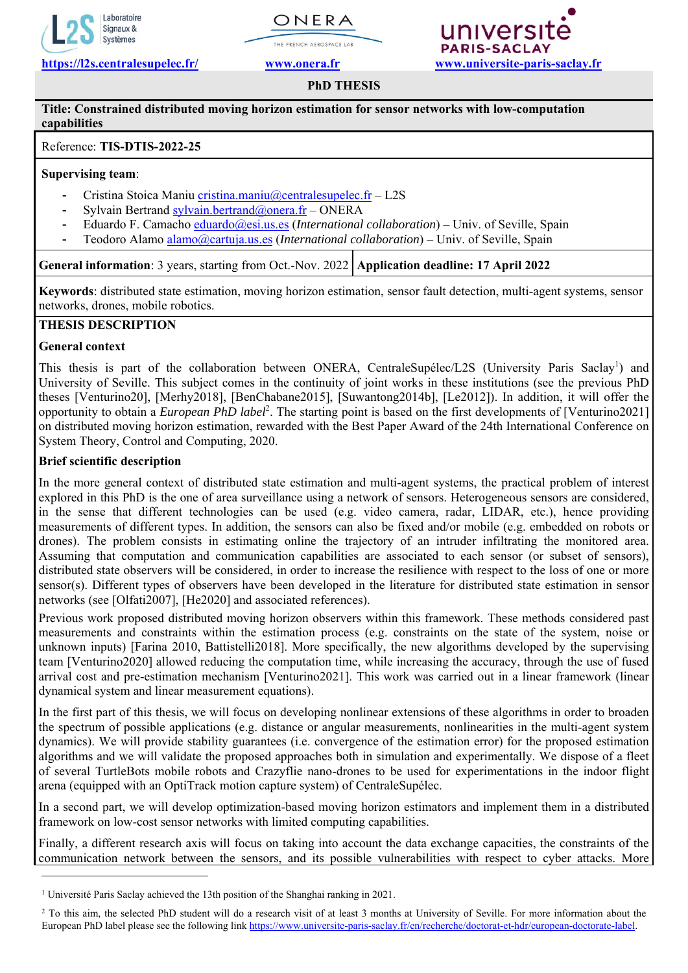







# **PhD THESIS**

## **Title: Constrained distributed moving horizon estimation for sensor networks with low-computation capabilities**

## Reference: **TIS-DTIS-2022-25**

### **Supervising team**:

- Cristina Stoica Maniu cristina.maniu@centralesupelec.fr L2S
- Sylvain Bertrand sylvain.bertrand@onera.fr ONERA
- Eduardo F. Camacho eduardo@esi.us.es (*International collaboration*) Univ. of Seville, Spain
- Teodoro Alamo alamo@cartuja.us.es (*International collaboration*) Univ. of Seville, Spain

**General information**: 3 years, starting from Oct.-Nov. 2022 **Application deadline: 17 April 2022** 

**Keywords**: distributed state estimation, moving horizon estimation, sensor fault detection, multi-agent systems, sensor networks, drones, mobile robotics.

# **THESIS DESCRIPTION**

## **General context**

-

This thesis is part of the collaboration between ONERA, CentraleSupélec/L2S (University Paris Saclay<sup>1</sup>) and University of Seville. This subject comes in the continuity of joint works in these institutions (see the previous PhD theses [Venturino20], [Merhy2018], [BenChabane2015], [Suwantong2014b], [Le2012]). In addition, it will offer the opportunity to obtain a *European PhD label*<sup>2</sup>. The starting point is based on the first developments of [Venturino2021] on distributed moving horizon estimation, rewarded with the Best Paper Award of the 24th International Conference on System Theory, Control and Computing, 2020.

## **Brief scientific description**

In the more general context of distributed state estimation and multi-agent systems, the practical problem of interest explored in this PhD is the one of area surveillance using a network of sensors. Heterogeneous sensors are considered, in the sense that different technologies can be used (e.g. video camera, radar, LIDAR, etc.), hence providing measurements of different types. In addition, the sensors can also be fixed and/or mobile (e.g. embedded on robots or drones). The problem consists in estimating online the trajectory of an intruder infiltrating the monitored area. Assuming that computation and communication capabilities are associated to each sensor (or subset of sensors), distributed state observers will be considered, in order to increase the resilience with respect to the loss of one or more sensor(s). Different types of observers have been developed in the literature for distributed state estimation in sensor networks (see [Olfati2007], [He2020] and associated references).

Previous work proposed distributed moving horizon observers within this framework. These methods considered past measurements and constraints within the estimation process (e.g. constraints on the state of the system, noise or unknown inputs) [Farina 2010, Battistelli2018]. More specifically, the new algorithms developed by the supervising team [Venturino2020] allowed reducing the computation time, while increasing the accuracy, through the use of fused arrival cost and pre-estimation mechanism [Venturino2021]. This work was carried out in a linear framework (linear dynamical system and linear measurement equations).

In the first part of this thesis, we will focus on developing nonlinear extensions of these algorithms in order to broaden the spectrum of possible applications (e.g. distance or angular measurements, nonlinearities in the multi-agent system dynamics). We will provide stability guarantees (i.e. convergence of the estimation error) for the proposed estimation algorithms and we will validate the proposed approaches both in simulation and experimentally. We dispose of a fleet of several TurtleBots mobile robots and Crazyflie nano-drones to be used for experimentations in the indoor flight arena (equipped with an OptiTrack motion capture system) of CentraleSupélec.

In a second part, we will develop optimization-based moving horizon estimators and implement them in a distributed framework on low-cost sensor networks with limited computing capabilities.

Finally, a different research axis will focus on taking into account the data exchange capacities, the constraints of the communication network between the sensors, and its possible vulnerabilities with respect to cyber attacks. More

<sup>1</sup> Université Paris Saclay achieved the 13th position of the Shanghai ranking in 2021.

<sup>&</sup>lt;sup>2</sup> To this aim, the selected PhD student will do a research visit of at least 3 months at University of Seville. For more information about the European PhD label please see the following link https://www.universite-paris-saclay.fr/en/recherche/doctorat-et-hdr/european-doctorate-label.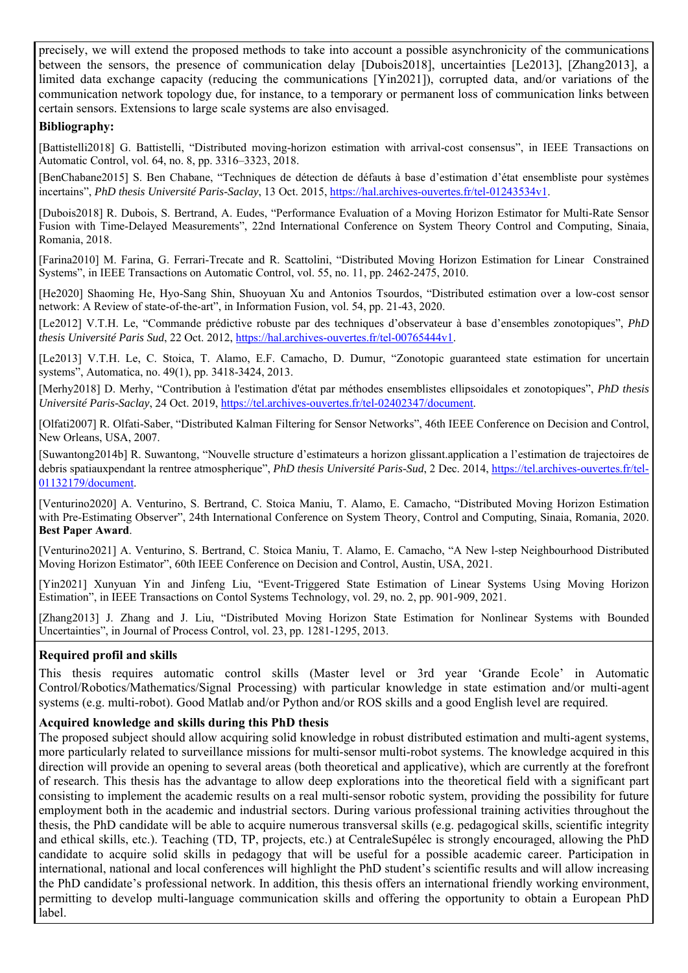precisely, we will extend the proposed methods to take into account a possible asynchronicity of the communications between the sensors, the presence of communication delay [Dubois2018], uncertainties [Le2013], [Zhang2013], a limited data exchange capacity (reducing the communications [Yin2021]), corrupted data, and/or variations of the communication network topology due, for instance, to a temporary or permanent loss of communication links between certain sensors. Extensions to large scale systems are also envisaged.

## **Bibliography:**

[Battistelli2018] G. Battistelli, "Distributed moving-horizon estimation with arrival-cost consensus", in IEEE Transactions on Automatic Control, vol. 64, no. 8, pp. 3316–3323, 2018.

[BenChabane2015] S. Ben Chabane, "Techniques de détection de défauts à base d'estimation d'état ensembliste pour systèmes incertains", *PhD thesis Université Paris-Saclay*, 13 Oct. 2015, https://hal.archives-ouvertes.fr/tel-01243534v1.

[Dubois2018] R. Dubois, S. Bertrand, A. Eudes, "Performance Evaluation of a Moving Horizon Estimator for Multi-Rate Sensor Fusion with Time-Delayed Measurements", 22nd International Conference on System Theory Control and Computing, Sinaia, Romania, 2018.

[Farina2010] M. Farina, G. Ferrari-Trecate and R. Scattolini, "Distributed Moving Horizon Estimation for Linear Constrained Systems", in IEEE Transactions on Automatic Control, vol. 55, no. 11, pp. 2462-2475, 2010.

[He2020] Shaoming He, Hyo-Sang Shin, Shuoyuan Xu and Antonios Tsourdos, "Distributed estimation over a low-cost sensor network: A Review of state-of-the-art", in Information Fusion, vol. 54, pp. 21-43, 2020.

[Le2012] V.T.H. Le, "Commande prédictive robuste par des techniques d'observateur à base d'ensembles zonotopiques", *PhD thesis Université Paris Sud*, 22 Oct. 2012, https://hal.archives-ouvertes.fr/tel-00765444v1.

[Le2013] V.T.H. Le, C. Stoica, T. Alamo, E.F. Camacho, D. Dumur, "Zonotopic guaranteed state estimation for uncertain systems", Automatica, no. 49(1), pp. 3418-3424, 2013.

[Merhy2018] D. Merhy, "Contribution à l'estimation d'état par méthodes ensemblistes ellipsoidales et zonotopiques", *PhD thesis Université Paris-Saclay*, 24 Oct. 2019, https://tel.archives-ouvertes.fr/tel-02402347/document.

[Olfati2007] R. Olfati-Saber, "Distributed Kalman Filtering for Sensor Networks", 46th IEEE Conference on Decision and Control, New Orleans, USA, 2007.

[Suwantong2014b] R. Suwantong, "Nouvelle structure d'estimateurs a horizon glissant.application a l'estimation de trajectoires de debris spatiauxpendant la rentree atmospherique", *PhD thesis Université Paris-Sud*, 2 Dec. 2014, https://tel.archives-ouvertes.fr/tel-01132179/document.

[Venturino2020] A. Venturino, S. Bertrand, C. Stoica Maniu, T. Alamo, E. Camacho, "Distributed Moving Horizon Estimation with Pre-Estimating Observer", 24th International Conference on System Theory, Control and Computing, Sinaia, Romania, 2020. **Best Paper Award**.

[Venturino2021] A. Venturino, S. Bertrand, C. Stoica Maniu, T. Alamo, E. Camacho, "A New l-step Neighbourhood Distributed Moving Horizon Estimator", 60th IEEE Conference on Decision and Control, Austin, USA, 2021.

[Yin2021] Xunyuan Yin and Jinfeng Liu, "Event-Triggered State Estimation of Linear Systems Using Moving Horizon Estimation", in IEEE Transactions on Contol Systems Technology, vol. 29, no. 2, pp. 901-909, 2021.

[Zhang2013] J. Zhang and J. Liu, "Distributed Moving Horizon State Estimation for Nonlinear Systems with Bounded Uncertainties", in Journal of Process Control, vol. 23, pp. 1281-1295, 2013.

## **Required profil and skills**

This thesis requires automatic control skills (Master level or 3rd year 'Grande Ecole' in Automatic Control/Robotics/Mathematics/Signal Processing) with particular knowledge in state estimation and/or multi-agent systems (e.g. multi-robot). Good Matlab and/or Python and/or ROS skills and a good English level are required.

## **Acquired knowledge and skills during this PhD thesis**

The proposed subject should allow acquiring solid knowledge in robust distributed estimation and multi-agent systems, more particularly related to surveillance missions for multi-sensor multi-robot systems. The knowledge acquired in this direction will provide an opening to several areas (both theoretical and applicative), which are currently at the forefront of research. This thesis has the advantage to allow deep explorations into the theoretical field with a significant part consisting to implement the academic results on a real multi-sensor robotic system, providing the possibility for future employment both in the academic and industrial sectors. During various professional training activities throughout the thesis, the PhD candidate will be able to acquire numerous transversal skills (e.g. pedagogical skills, scientific integrity and ethical skills, etc.). Teaching (TD, TP, projects, etc.) at CentraleSupélec is strongly encouraged, allowing the PhD candidate to acquire solid skills in pedagogy that will be useful for a possible academic career. Participation in international, national and local conferences will highlight the PhD student's scientific results and will allow increasing the PhD candidate's professional network. In addition, this thesis offers an international friendly working environment, permitting to develop multi-language communication skills and offering the opportunity to obtain a European PhD label.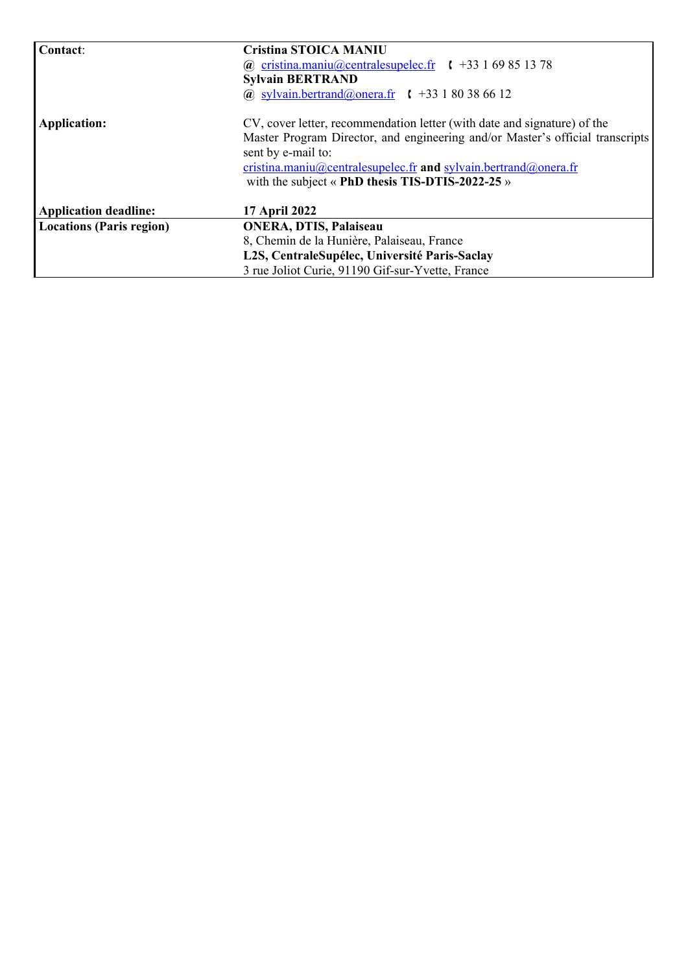| Contact:                        | <b>Cristina STOICA MANIU</b>                                                  |
|---------------------------------|-------------------------------------------------------------------------------|
|                                 | (a) cristina.maniu(a)centralesupelec.fr $\binom{+33}{+33}$ 1 69 85 13 78      |
|                                 | <b>Sylvain BERTRAND</b>                                                       |
|                                 | (a) sylvain.bertrand(a) onera.fr $\uparrow$ +33 1 80 38 66 12                 |
| Application:                    | CV, cover letter, recommendation letter (with date and signature) of the      |
|                                 | Master Program Director, and engineering and/or Master's official transcripts |
|                                 | sent by e-mail to:                                                            |
|                                 | cristina.maniu@centralesupelec.fr and sylvain.bertrand@onera.fr               |
|                                 | with the subject $\langle$ PhD thesis TIS-DTIS-2022-25 $\rangle$              |
| <b>Application deadline:</b>    | <b>17 April 2022</b>                                                          |
| <b>Locations (Paris region)</b> | <b>ONERA, DTIS, Palaiseau</b>                                                 |
|                                 | 8, Chemin de la Hunière, Palaiseau, France                                    |
|                                 | L2S, CentraleSupélec, Université Paris-Saclay                                 |
|                                 | 3 rue Joliot Curie, 91190 Gif-sur-Yvette, France                              |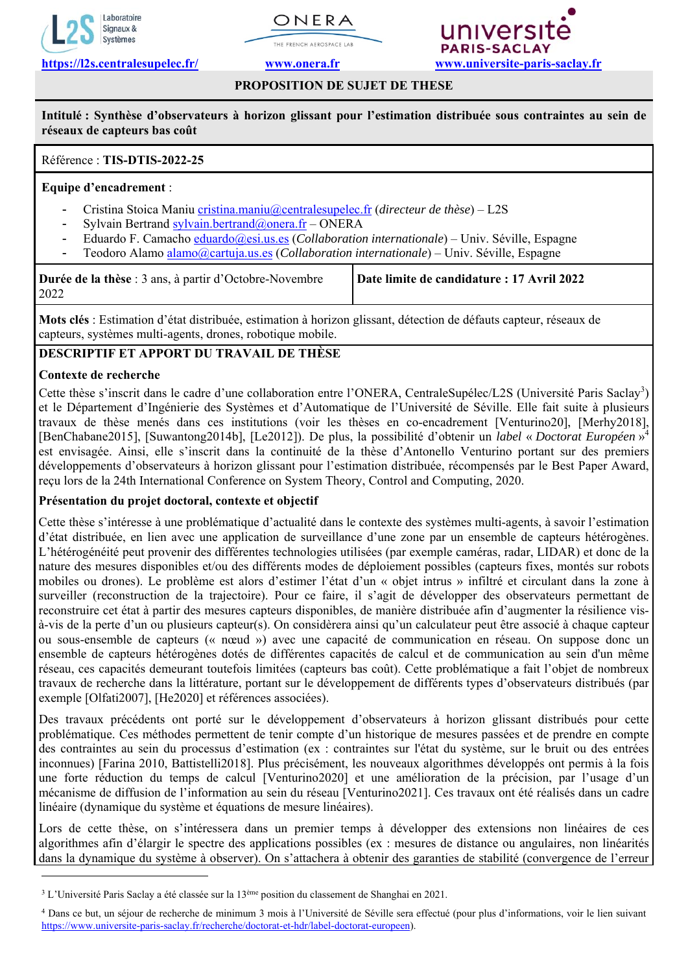





# **PROPOSITION DE SUJET DE THESE**

**Intitulé : Synthèse d'observateurs à horizon glissant pour l'estimation distribuée sous contraintes au sein de réseaux de capteurs bas coût** 

# Référence : **TIS-DTIS-2022-25**

## **Equipe d'encadrement** :

- Cristina Stoica Maniu cristina.maniu@centralesupelec.fr (*directeur de thèse*) L2S
- Sylvain Bertrand sylvain.bertrand@onera.fr ONERA
- Eduardo F. Camacho eduardo@esi.us.es (*Collaboration internationale*) Univ. Séville, Espagne
- Teodoro Alamo alamo@cartuja.us.es (*Collaboration internationale*) Univ. Séville. Espagne

| Durée de la thèse : 3 ans, à partir d'Octobre-Novembre | Date limite de candidature : 17 Avril 2022 |
|--------------------------------------------------------|--------------------------------------------|
| 2022                                                   |                                            |

**Mots clés** : Estimation d'état distribuée, estimation à horizon glissant, détection de défauts capteur, réseaux de capteurs, systèmes multi-agents, drones, robotique mobile.

# **DESCRIPTIF ET APPORT DU TRAVAIL DE THÈSE**

## **Contexte de recherche**

-

Cette thèse s'inscrit dans le cadre d'une collaboration entre l'ONERA, CentraleSupélec/L2S (Université Paris Saclay<sup>3</sup>) et le Département d'Ingénierie des Systèmes et d'Automatique de l'Université de Séville. Elle fait suite à plusieurs travaux de thèse menés dans ces institutions (voir les thèses en co-encadrement [Venturino20], [Merhy2018], [BenChabane2015], [Suwantong2014b], [Le2012]). De plus, la possibilité d'obtenir un *label* « *Doctorat Européen* »4 est envisagée. Ainsi, elle s'inscrit dans la continuité de la thèse d'Antonello Venturino portant sur des premiers développements d'observateurs à horizon glissant pour l'estimation distribuée, récompensés par le Best Paper Award, reçu lors de la 24th International Conference on System Theory, Control and Computing, 2020.

## **Présentation du projet doctoral, contexte et objectif**

Cette thèse s'intéresse à une problématique d'actualité dans le contexte des systèmes multi-agents, à savoir l'estimation d'état distribuée, en lien avec une application de surveillance d'une zone par un ensemble de capteurs hétérogènes. L'hétérogénéité peut provenir des différentes technologies utilisées (par exemple caméras, radar, LIDAR) et donc de la nature des mesures disponibles et/ou des différents modes de déploiement possibles (capteurs fixes, montés sur robots mobiles ou drones). Le problème est alors d'estimer l'état d'un « objet intrus » infiltré et circulant dans la zone à surveiller (reconstruction de la trajectoire). Pour ce faire, il s'agit de développer des observateurs permettant de reconstruire cet état à partir des mesures capteurs disponibles, de manière distribuée afin d'augmenter la résilience visà-vis de la perte d'un ou plusieurs capteur(s). On considèrera ainsi qu'un calculateur peut être associé à chaque capteur ou sous-ensemble de capteurs (« nœud ») avec une capacité de communication en réseau. On suppose donc un ensemble de capteurs hétérogènes dotés de différentes capacités de calcul et de communication au sein d'un même réseau, ces capacités demeurant toutefois limitées (capteurs bas coût). Cette problématique a fait l'objet de nombreux travaux de recherche dans la littérature, portant sur le développement de différents types d'observateurs distribués (par exemple [Olfati2007], [He2020] et références associées).

Des travaux précédents ont porté sur le développement d'observateurs à horizon glissant distribués pour cette problématique. Ces méthodes permettent de tenir compte d'un historique de mesures passées et de prendre en compte des contraintes au sein du processus d'estimation (ex : contraintes sur l'état du système, sur le bruit ou des entrées inconnues) [Farina 2010, Battistelli2018]. Plus précisément, les nouveaux algorithmes développés ont permis à la fois une forte réduction du temps de calcul [Venturino2020] et une amélioration de la précision, par l'usage d'un mécanisme de diffusion de l'information au sein du réseau [Venturino2021]. Ces travaux ont été réalisés dans un cadre linéaire (dynamique du système et équations de mesure linéaires).

Lors de cette thèse, on s'intéressera dans un premier temps à développer des extensions non linéaires de ces algorithmes afin d'élargir le spectre des applications possibles (ex : mesures de distance ou angulaires, non linéarités dans la dynamique du système à observer). On s'attachera à obtenir des garanties de stabilité (convergence de l'erreur

<sup>&</sup>lt;sup>3</sup> L'Université Paris Saclay a été classée sur la 13<sup>ème</sup> position du classement de Shanghai en 2021.

<sup>4</sup> Dans ce but, un séjour de recherche de minimum 3 mois à l'Université de Séville sera effectué (pour plus d'informations, voir le lien suivant https://www.universite-paris-saclay.fr/recherche/doctorat-et-hdr/label-doctorat-europeen).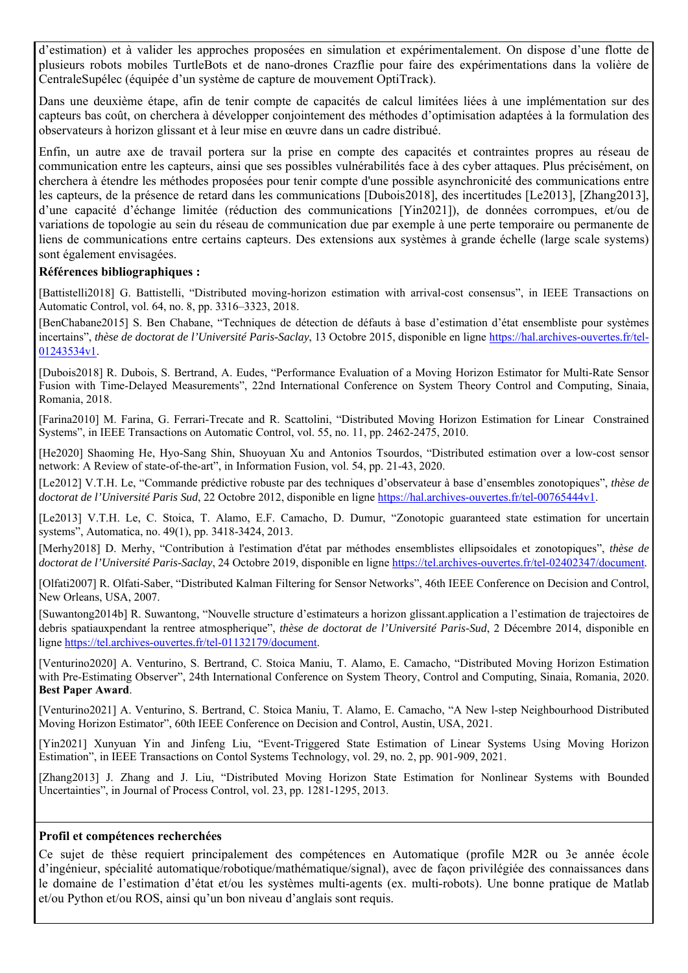d'estimation) et à valider les approches proposées en simulation et expérimentalement. On dispose d'une flotte de plusieurs robots mobiles TurtleBots et de nano-drones Crazflie pour faire des expérimentations dans la volière de CentraleSupélec (équipée d'un système de capture de mouvement OptiTrack).

Dans une deuxième étape, afin de tenir compte de capacités de calcul limitées liées à une implémentation sur des capteurs bas coût, on cherchera à développer conjointement des méthodes d'optimisation adaptées à la formulation des observateurs à horizon glissant et à leur mise en œuvre dans un cadre distribué.

Enfin, un autre axe de travail portera sur la prise en compte des capacités et contraintes propres au réseau de communication entre les capteurs, ainsi que ses possibles vulnérabilités face à des cyber attaques. Plus précisément, on cherchera à étendre les méthodes proposées pour tenir compte d'une possible asynchronicité des communications entre les capteurs, de la présence de retard dans les communications [Dubois2018], des incertitudes [Le2013], [Zhang2013], d'une capacité d'échange limitée (réduction des communications [Yin2021]), de données corrompues, et/ou de variations de topologie au sein du réseau de communication due par exemple à une perte temporaire ou permanente de liens de communications entre certains capteurs. Des extensions aux systèmes à grande échelle (large scale systems) sont également envisagées.

## **Références bibliographiques :**

[Battistelli2018] G. Battistelli, "Distributed moving-horizon estimation with arrival-cost consensus", in IEEE Transactions on Automatic Control, vol. 64, no. 8, pp. 3316–3323, 2018.

[BenChabane2015] S. Ben Chabane, "Techniques de détection de défauts à base d'estimation d'état ensembliste pour systèmes incertains", *thèse de doctorat de l'Université Paris-Saclay*, 13 Octobre 2015, disponible en ligne https://hal.archives-ouvertes.fr/tel-01243534v1.

[Dubois2018] R. Dubois, S. Bertrand, A. Eudes, "Performance Evaluation of a Moving Horizon Estimator for Multi-Rate Sensor Fusion with Time-Delayed Measurements", 22nd International Conference on System Theory Control and Computing, Sinaia, Romania, 2018.

[Farina2010] M. Farina, G. Ferrari-Trecate and R. Scattolini, "Distributed Moving Horizon Estimation for Linear Constrained Systems", in IEEE Transactions on Automatic Control, vol. 55, no. 11, pp. 2462-2475, 2010.

[He2020] Shaoming He, Hyo-Sang Shin, Shuoyuan Xu and Antonios Tsourdos, "Distributed estimation over a low-cost sensor network: A Review of state-of-the-art", in Information Fusion, vol. 54, pp. 21-43, 2020.

[Le2012] V.T.H. Le, "Commande prédictive robuste par des techniques d'observateur à base d'ensembles zonotopiques", *thèse de doctorat de l'Université Paris Sud*, 22 Octobre 2012, disponible en ligne https://hal.archives-ouvertes.fr/tel-00765444v1.

[Le2013] V.T.H. Le, C. Stoica, T. Alamo, E.F. Camacho, D. Dumur, "Zonotopic guaranteed state estimation for uncertain systems", Automatica, no. 49(1), pp. 3418-3424, 2013.

[Merhy2018] D. Merhy, "Contribution à l'estimation d'état par méthodes ensemblistes ellipsoidales et zonotopiques", *thèse de*  doctorat de l'Université Paris-Saclay, 24 Octobre 2019, disponible en ligne https://tel.archives-ouvertes.fr/tel-02402347/document.

[Olfati2007] R. Olfati-Saber, "Distributed Kalman Filtering for Sensor Networks", 46th IEEE Conference on Decision and Control, New Orleans, USA, 2007.

[Suwantong2014b] R. Suwantong, "Nouvelle structure d'estimateurs a horizon glissant.application a l'estimation de trajectoires de debris spatiauxpendant la rentree atmospherique", *thèse de doctorat de l'Université Paris-Sud*, 2 Décembre 2014, disponible en ligne https://tel.archives-ouvertes.fr/tel-01132179/document.

[Venturino2020] A. Venturino, S. Bertrand, C. Stoica Maniu, T. Alamo, E. Camacho, "Distributed Moving Horizon Estimation with Pre-Estimating Observer", 24th International Conference on System Theory, Control and Computing, Sinaia, Romania, 2020. **Best Paper Award**.

[Venturino2021] A. Venturino, S. Bertrand, C. Stoica Maniu, T. Alamo, E. Camacho, "A New l-step Neighbourhood Distributed Moving Horizon Estimator", 60th IEEE Conference on Decision and Control, Austin, USA, 2021.

[Yin2021] Xunyuan Yin and Jinfeng Liu, "Event-Triggered State Estimation of Linear Systems Using Moving Horizon Estimation", in IEEE Transactions on Contol Systems Technology, vol. 29, no. 2, pp. 901-909, 2021.

[Zhang2013] J. Zhang and J. Liu, "Distributed Moving Horizon State Estimation for Nonlinear Systems with Bounded Uncertainties", in Journal of Process Control, vol. 23, pp. 1281-1295, 2013.

### **Profil et compétences recherchées**

Ce sujet de thèse requiert principalement des compétences en Automatique (profile M2R ou 3e année école d'ingénieur, spécialité automatique/robotique/mathématique/signal), avec de façon privilégiée des connaissances dans le domaine de l'estimation d'état et/ou les systèmes multi-agents (ex. multi-robots). Une bonne pratique de Matlab et/ou Python et/ou ROS, ainsi qu'un bon niveau d'anglais sont requis.